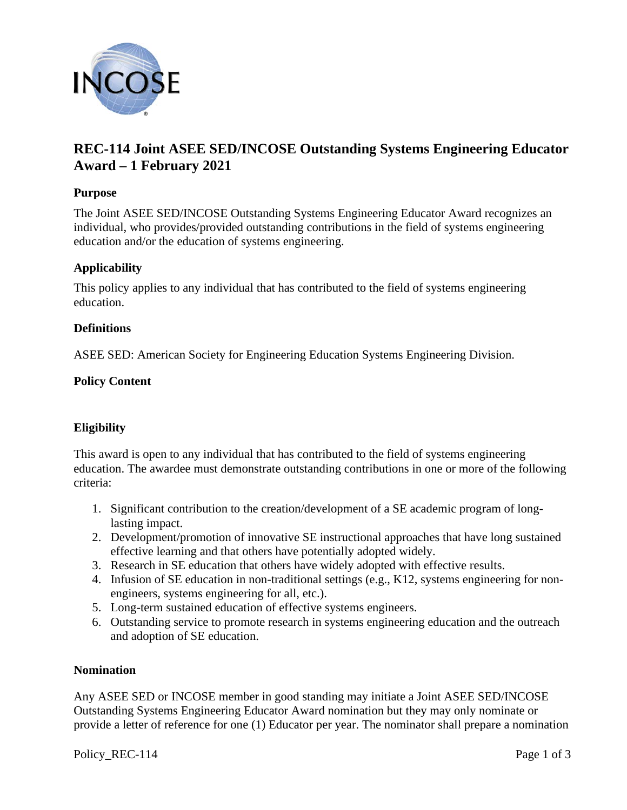

# **REC-114 Joint ASEE SED/INCOSE Outstanding Systems Engineering Educator Award – 1 February 2021**

## **Purpose**

The Joint ASEE SED/INCOSE Outstanding Systems Engineering Educator Award recognizes an individual, who provides/provided outstanding contributions in the field of systems engineering education and/or the education of systems engineering.

## **Applicability**

This policy applies to any individual that has contributed to the field of systems engineering education.

## **Definitions**

ASEE SED: American Society for Engineering Education Systems Engineering Division.

## **Policy Content**

## **Eligibility**

This award is open to any individual that has contributed to the field of systems engineering education. The awardee must demonstrate outstanding contributions in one or more of the following criteria:

- 1. Significant contribution to the creation/development of a SE academic program of longlasting impact.
- 2. Development/promotion of innovative SE instructional approaches that have long sustained effective learning and that others have potentially adopted widely.
- 3. Research in SE education that others have widely adopted with effective results.
- 4. Infusion of SE education in non-traditional settings (e.g., K12, systems engineering for nonengineers, systems engineering for all, etc.).
- 5. Long-term sustained education of effective systems engineers.
- 6. Outstanding service to promote research in systems engineering education and the outreach and adoption of SE education.

#### **Nomination**

Any ASEE SED or INCOSE member in good standing may initiate a Joint ASEE SED/INCOSE Outstanding Systems Engineering Educator Award nomination but they may only nominate or provide a letter of reference for one (1) Educator per year. The nominator shall prepare a nomination

Policy REC-114 Page 1 of 3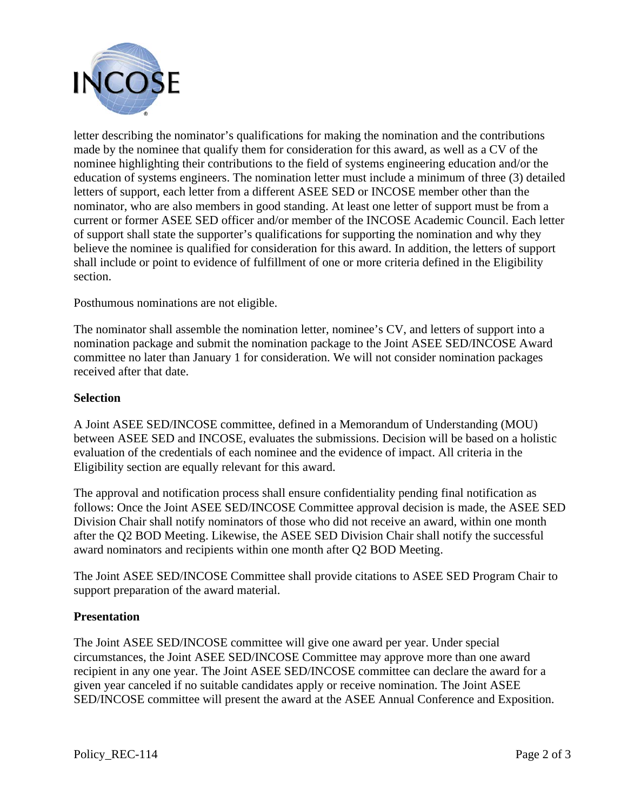

letter describing the nominator's qualifications for making the nomination and the contributions made by the nominee that qualify them for consideration for this award, as well as a CV of the nominee highlighting their contributions to the field of systems engineering education and/or the education of systems engineers. The nomination letter must include a minimum of three (3) detailed letters of support, each letter from a different ASEE SED or INCOSE member other than the nominator, who are also members in good standing. At least one letter of support must be from a current or former ASEE SED officer and/or member of the INCOSE Academic Council. Each letter of support shall state the supporter's qualifications for supporting the nomination and why they believe the nominee is qualified for consideration for this award. In addition, the letters of support shall include or point to evidence of fulfillment of one or more criteria defined in the Eligibility section.

Posthumous nominations are not eligible.

The nominator shall assemble the nomination letter, nominee's CV, and letters of support into a nomination package and submit the nomination package to the Joint ASEE SED/INCOSE Award committee no later than January 1 for consideration. We will not consider nomination packages received after that date.

## **Selection**

A Joint ASEE SED/INCOSE committee, defined in a Memorandum of Understanding (MOU) between ASEE SED and INCOSE, evaluates the submissions. Decision will be based on a holistic evaluation of the credentials of each nominee and the evidence of impact. All criteria in the Eligibility section are equally relevant for this award.

The approval and notification process shall ensure confidentiality pending final notification as follows: Once the Joint ASEE SED/INCOSE Committee approval decision is made, the ASEE SED Division Chair shall notify nominators of those who did not receive an award, within one month after the Q2 BOD Meeting. Likewise, the ASEE SED Division Chair shall notify the successful award nominators and recipients within one month after Q2 BOD Meeting.

The Joint ASEE SED/INCOSE Committee shall provide citations to ASEE SED Program Chair to support preparation of the award material.

## **Presentation**

The Joint ASEE SED/INCOSE committee will give one award per year. Under special circumstances, the Joint ASEE SED/INCOSE Committee may approve more than one award recipient in any one year. The Joint ASEE SED/INCOSE committee can declare the award for a given year canceled if no suitable candidates apply or receive nomination. The Joint ASEE SED/INCOSE committee will present the award at the ASEE Annual Conference and Exposition.